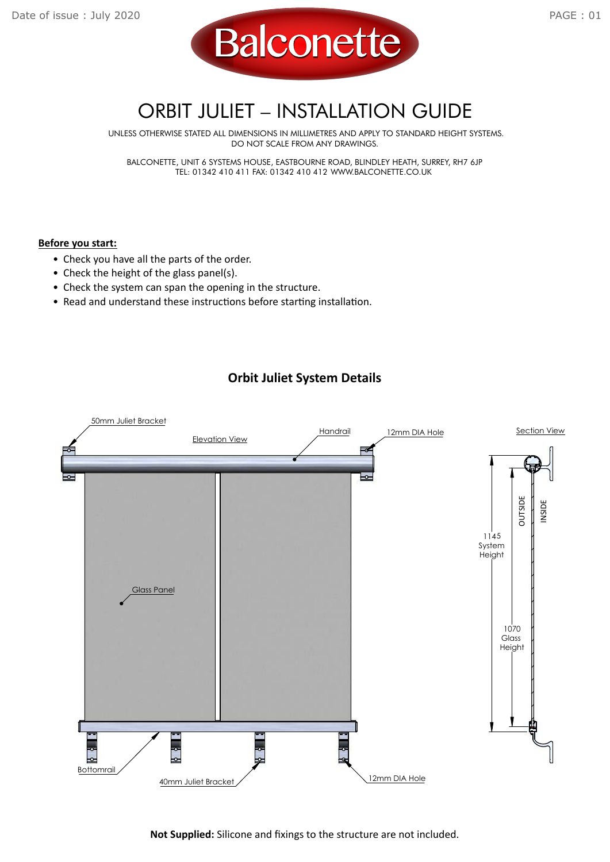

## ORBIT JULIET – INSTALLATION GUIDE

 UNLESS OTHERWISE STATED ALL DIMENSIONS IN MILLIMETRES AND APPLY TO STANDARD HEIGHT SYSTEMS. DO NOT SCALE FROM ANY DRAWINGS.

BALCONETTE, UNIT 6 SYSTEMS HOUSE, EASTBOURNE ROAD, BLINDLEY HEATH, SURREY, RH7 6JP TEL: 01342 410 411 FAX: 01342 410 412 WWW.BALCONETTE.CO.UK

## **Before you start:**

- Check you have all the parts of the order.
- Check the height of the glass panel(s).
- Check the system can span the opening in the structure.
- Read and understand these instructions before starting installation.

## **Orbit Juliet System Details**

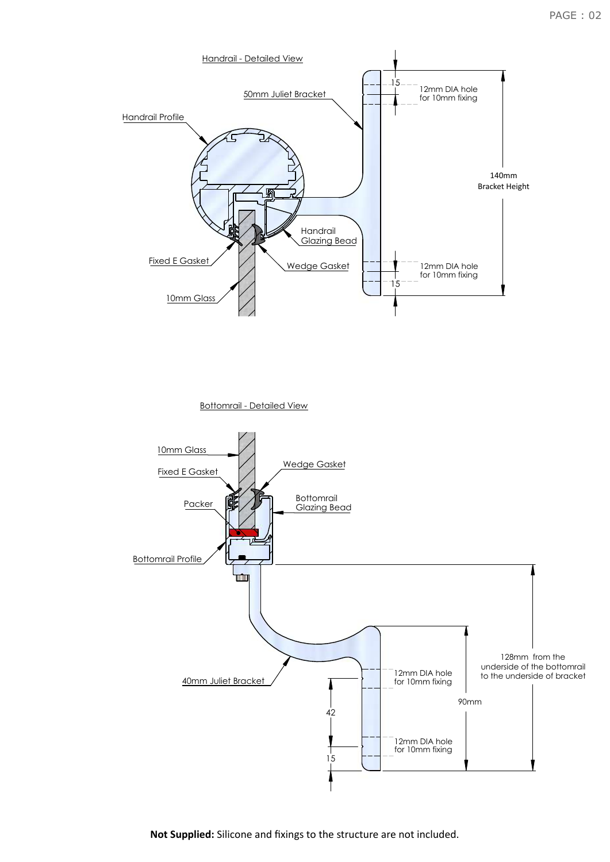

Bottomrail - Detailed View



**Not Supplied:** Silicone and fixings to the structure are not included.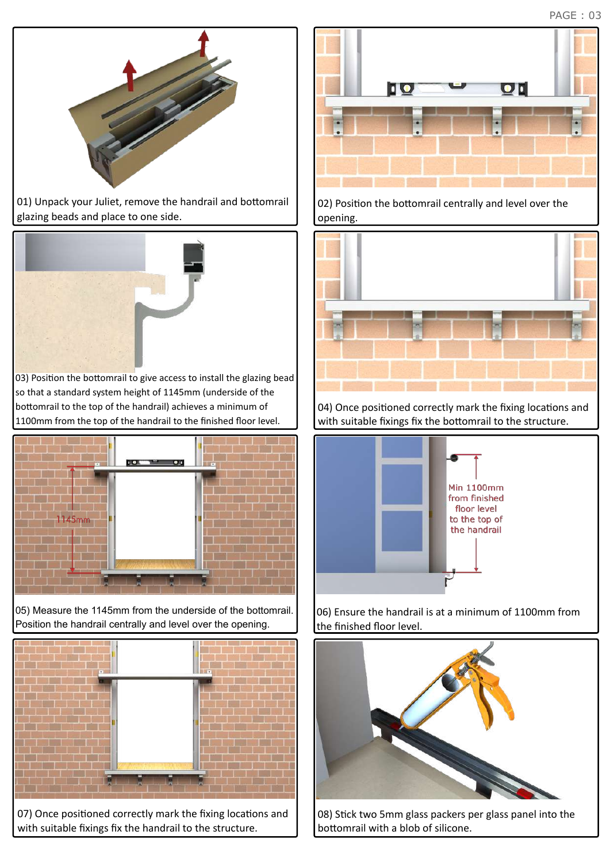

01) Unpack your Juliet, remove the handrail and bottomrail glazing beads and place to one side.



03) Position the bottomrail to give access to install the glazing bead so that a standard system height of 1145mm (underside of the bottomrail to the top of the handrail) achieves a minimum of 1100mm from the top of the handrail to the finished floor level.



05) Measure the 1145mm from the underside of the bottomrail. Position the handrail centrally and level over the opening.



07) Once positioned correctly mark the fixing locations and with suitable fixings fix the handrail to the structure.



02) Position the bottomrail centrally and level over the opening.



04) Once positioned correctly mark the fixing locations and with suitable fixings fix the bottomrail to the structure.



06) Ensure the handrail is at a minimum of 1100mm from the finished floor level.



08) Stick two 5mm glass packers per glass panel into the bottomrail with a blob of silicone.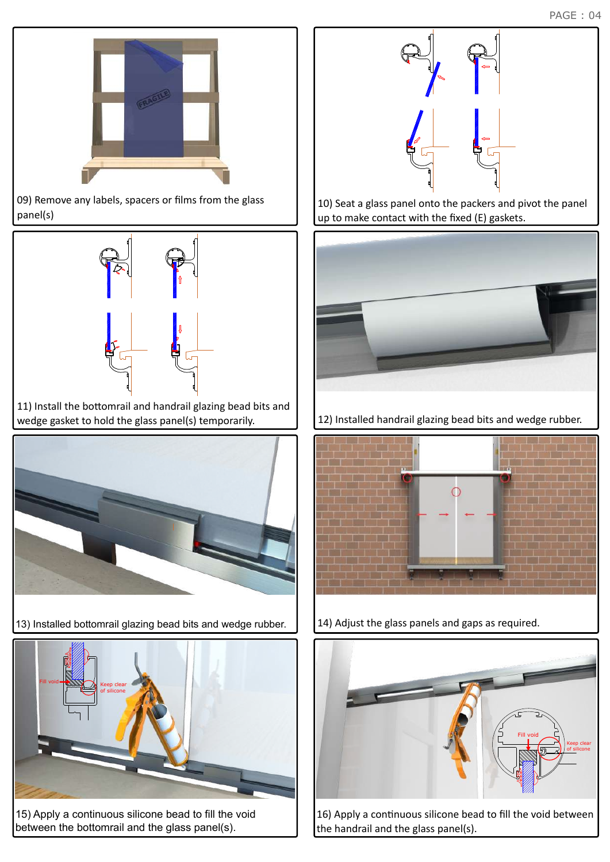

09) Remove any labels, spacers or films from the glass panel(s)



11) Install the bottomrail and handrail glazing bead bits and wedge gasket to hold the glass panel(s) temporarily. <sup>1</sup> 12) Installed handrail glazing bead bits and wedge rubber.



13) Installed bottomrail glazing bead bits and wedge rubber.



15) Apply a continuous silicone bead to fill the void between the bottomrail and the glass panel(s).



10) Seat a glass panel onto the packers and pivot the panel up to make contact with the fixed (E) gaskets.





14) Adjust the glass panels and gaps as required.



16) Apply a continuous silicone bead to fill the void between the handrail and the glass panel(s).